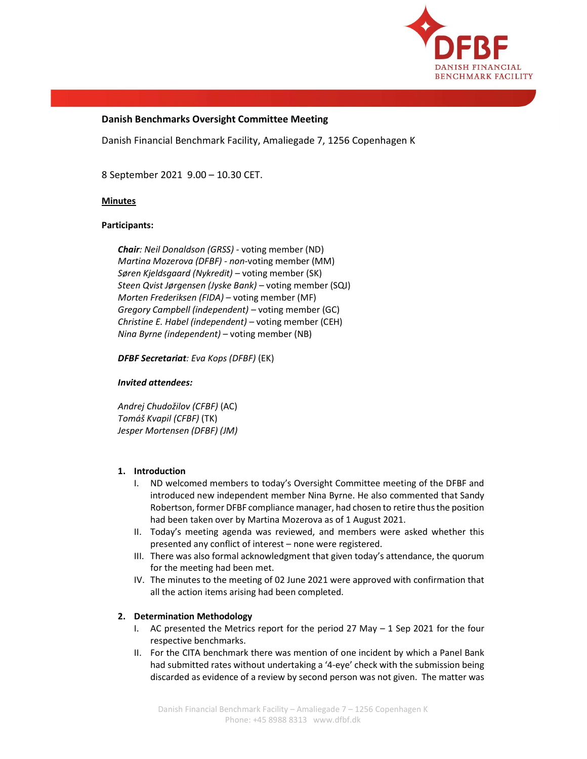

# Danish Benchmarks Oversight Committee Meeting

Danish Financial Benchmark Facility, Amaliegade 7, 1256 Copenhagen K

8 September 2021 9.00 – 10.30 CET.

### Minutes

### Participants:

Chair: Neil Donaldson (GRSS) - voting member (ND) Martina Mozerova (DFBF) - non-voting member (MM) Søren Kjeldsgaard (Nykredit) – voting member (SK) Steen Qvist Jørgensen (Jyske Bank) – voting member (SQJ) Morten Frederiksen (FIDA) – voting member (MF) Gregory Campbell (independent) – voting member (GC) Christine E. Habel (independent) – voting member (CEH) Nina Byrne (independent) – voting member (NB)

DFBF Secretariat: Eva Kops (DFBF) (EK)

#### Invited attendees:

Andrej Chudožilov (CFBF) (AC) Tomáš Kvapil (CFBF) (TK) Jesper Mortensen (DFBF) (JM)

### 1. Introduction

- I. ND welcomed members to today's Oversight Committee meeting of the DFBF and introduced new independent member Nina Byrne. He also commented that Sandy Robertson, former DFBF compliance manager, had chosen to retire thus the position had been taken over by Martina Mozerova as of 1 August 2021.
- II. Today's meeting agenda was reviewed, and members were asked whether this presented any conflict of interest – none were registered.
- III. There was also formal acknowledgment that given today's attendance, the quorum for the meeting had been met.
- IV. The minutes to the meeting of 02 June 2021 were approved with confirmation that all the action items arising had been completed.

# 2. Determination Methodology

- I. AC presented the Metrics report for the period 27 May  $-1$  Sep 2021 for the four respective benchmarks.
- II. For the CITA benchmark there was mention of one incident by which a Panel Bank had submitted rates without undertaking a '4-eye' check with the submission being discarded as evidence of a review by second person was not given. The matter was